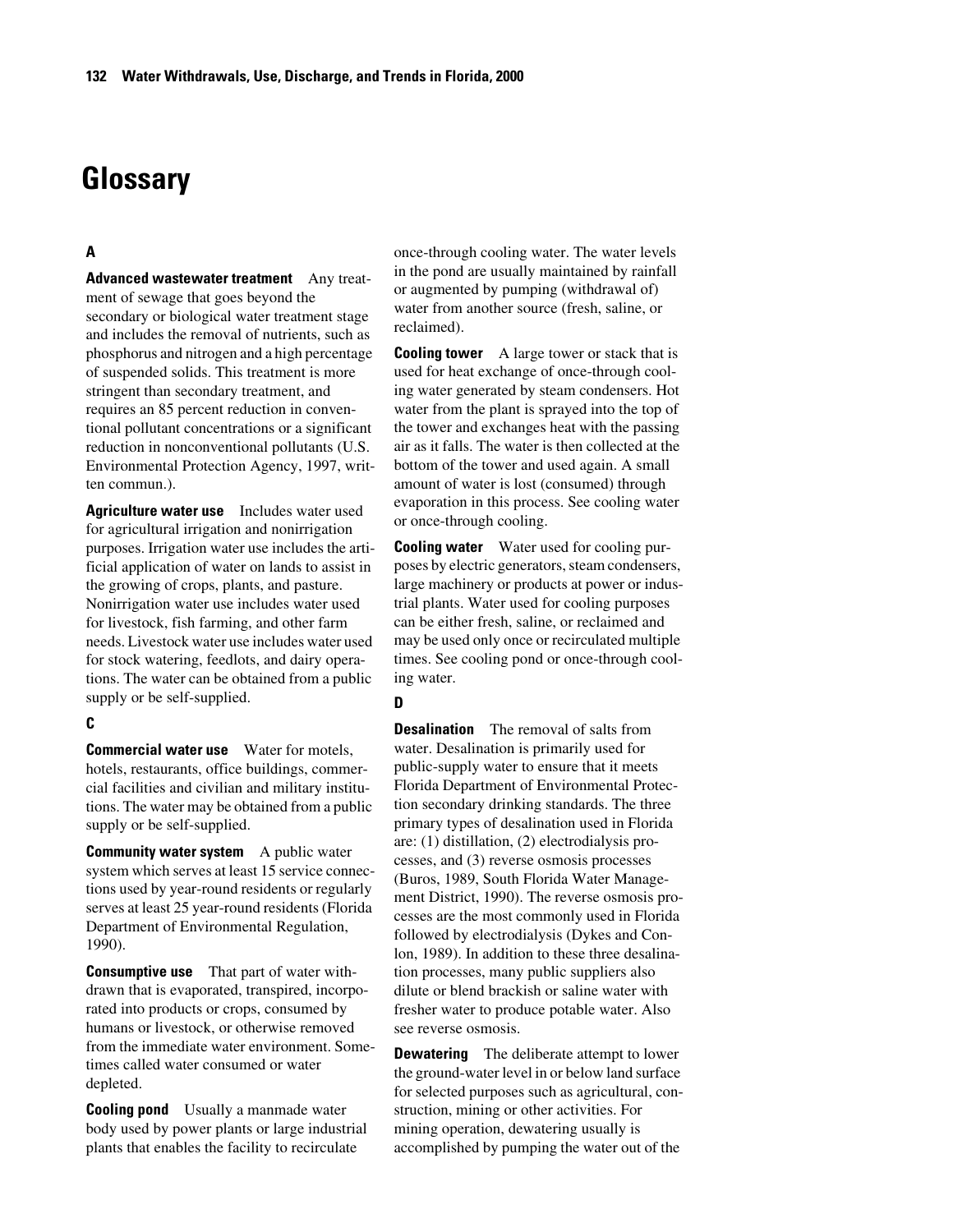# **Glossary**

# **A**

**Advanced wastewater treatment** Any treatment of sewage that goes beyond the secondary or biological water treatment stage and includes the removal of nutrients, such as phosphorus and nitrogen and a high percentage of suspended solids. This treatment is more stringent than secondary treatment, and requires an 85 percent reduction in conventional pollutant concentrations or a significant reduction in nonconventional pollutants (U.S. Environmental Protection Agency, 1997, written commun.).

**Agriculture water use** Includes water used for agricultural irrigation and nonirrigation purposes. Irrigation water use includes the artificial application of water on lands to assist in the growing of crops, plants, and pasture. Nonirrigation water use includes water used for livestock, fish farming, and other farm needs. Livestock water use includes water used for stock watering, feedlots, and dairy operations. The water can be obtained from a public supply or be self-supplied.

## **C**

**Commercial water use** Water for motels, hotels, restaurants, office buildings, commercial facilities and civilian and military institutions. The water may be obtained from a public supply or be self-supplied.

**Community water system** A public water system which serves at least 15 service connections used by year-round residents or regularly serves at least 25 year-round residents (Florida Department of Environmental Regulation, 1990).

**Consumptive use** That part of water withdrawn that is evaporated, transpired, incorporated into products or crops, consumed by humans or livestock, or otherwise removed from the immediate water environment. Sometimes called water consumed or water depleted.

**Cooling pond** Usually a manmade water body used by power plants or large industrial plants that enables the facility to recirculate

once-through cooling water. The water levels in the pond are usually maintained by rainfall or augmented by pumping (withdrawal of) water from another source (fresh, saline, or reclaimed).

**Cooling tower** A large tower or stack that is used for heat exchange of once-through cooling water generated by steam condensers. Hot water from the plant is sprayed into the top of the tower and exchanges heat with the passing air as it falls. The water is then collected at the bottom of the tower and used again. A small amount of water is lost (consumed) through evaporation in this process. See cooling water or once-through cooling.

**Cooling water** Water used for cooling purposes by electric generators, steam condensers, large machinery or products at power or industrial plants. Water used for cooling purposes can be either fresh, saline, or reclaimed and may be used only once or recirculated multiple times. See cooling pond or once-through cooling water.

## **D**

**Desalination** The removal of salts from water. Desalination is primarily used for public-supply water to ensure that it meets Florida Department of Environmental Protection secondary drinking standards. The three primary types of desalination used in Florida are: (1) distillation, (2) electrodialysis processes, and (3) reverse osmosis processes (Buros, 1989, South Florida Water Management District, 1990). The reverse osmosis processes are the most commonly used in Florida followed by electrodialysis (Dykes and Conlon, 1989). In addition to these three desalination processes, many public suppliers also dilute or blend brackish or saline water with fresher water to produce potable water. Also see reverse osmosis.

**Dewatering** The deliberate attempt to lower the ground-water level in or below land surface for selected purposes such as agricultural, construction, mining or other activities. For mining operation, dewatering usually is accomplished by pumping the water out of the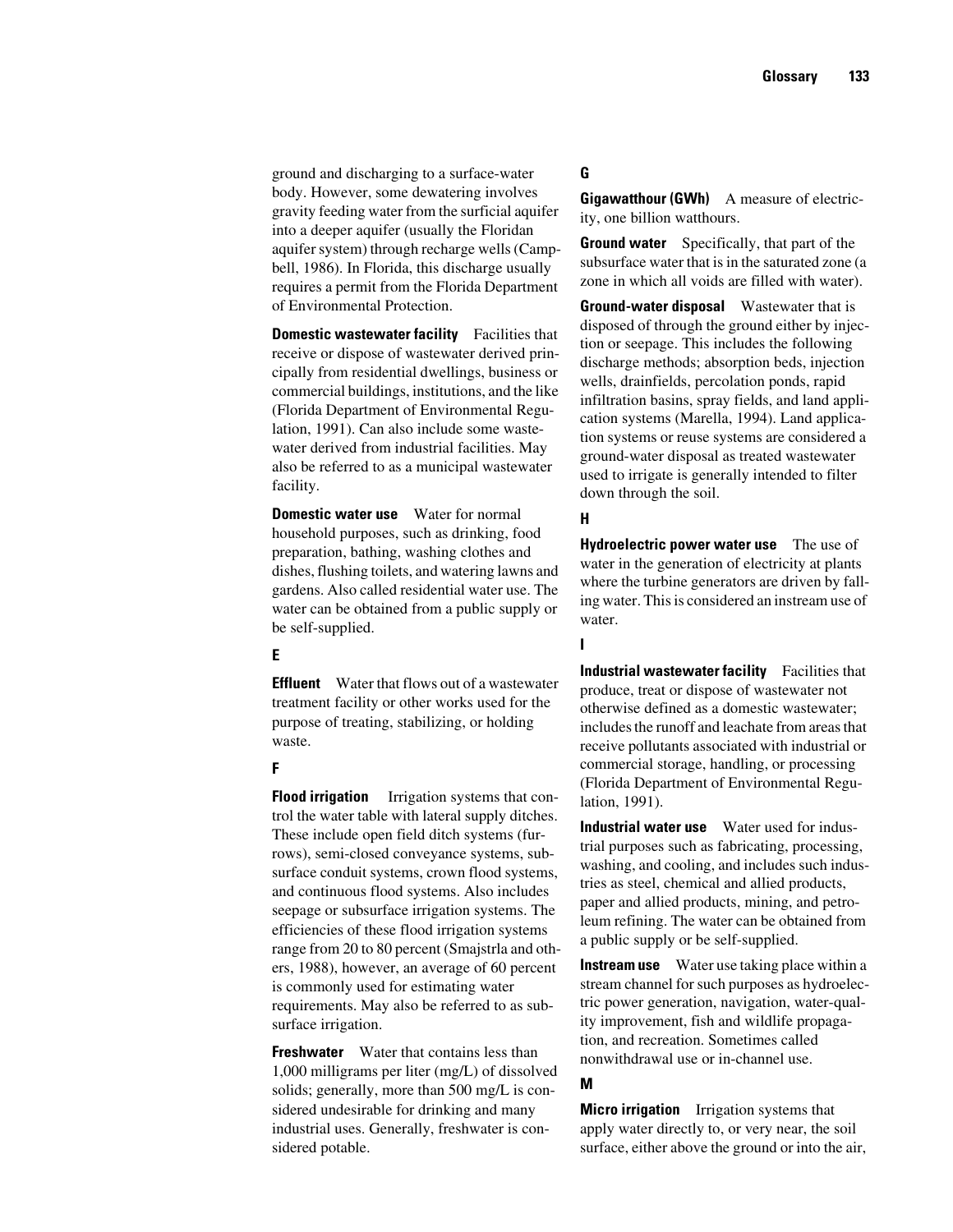ground and discharging to a surface-water body. However, some dewatering involves gravity feeding water from the surficial aquifer into a deeper aquifer (usually the Floridan aquifer system) through recharge wells (Campbell, 1986). In Florida, this discharge usually requires a permit from the Florida Department of Environmental Protection.

**Domestic wastewater facility** Facilities that receive or dispose of wastewater derived principally from residential dwellings, business or commercial buildings, institutions, and the like (Florida Department of Environmental Regulation, 1991). Can also include some wastewater derived from industrial facilities. May also be referred to as a municipal wastewater facility.

**Domestic water use** Water for normal household purposes, such as drinking, food preparation, bathing, washing clothes and dishes, flushing toilets, and watering lawns and gardens. Also called residential water use. The water can be obtained from a public supply or be self-supplied.

## **E**

**Effluent** Water that flows out of a wastewater treatment facility or other works used for the purpose of treating, stabilizing, or holding waste.

## **F**

**Flood irrigation** Irrigation systems that control the water table with lateral supply ditches. These include open field ditch systems (furrows), semi-closed conveyance systems, subsurface conduit systems, crown flood systems, and continuous flood systems. Also includes seepage or subsurface irrigation systems. The efficiencies of these flood irrigation systems range from 20 to 80 percent (Smajstrla and others, 1988), however, an average of 60 percent is commonly used for estimating water requirements. May also be referred to as subsurface irrigation.

**Freshwater** Water that contains less than 1,000 milligrams per liter (mg/L) of dissolved solids; generally, more than 500 mg/L is considered undesirable for drinking and many industrial uses. Generally, freshwater is considered potable.

# **G**

**Gigawatthour (GWh)** A measure of electricity, one billion watthours.

**Ground water** Specifically, that part of the subsurface water that is in the saturated zone (a zone in which all voids are filled with water).

**Ground-water disposal** Wastewater that is disposed of through the ground either by injection or seepage. This includes the following discharge methods; absorption beds, injection wells, drainfields, percolation ponds, rapid infiltration basins, spray fields, and land application systems (Marella, 1994). Land application systems or reuse systems are considered a ground-water disposal as treated wastewater used to irrigate is generally intended to filter down through the soil.

## **H**

**Hydroelectric power water use** The use of water in the generation of electricity at plants where the turbine generators are driven by falling water. This is considered an instream use of water.

### **I**

**Industrial wastewater facility** Facilities that produce, treat or dispose of wastewater not otherwise defined as a domestic wastewater; includes the runoff and leachate from areas that receive pollutants associated with industrial or commercial storage, handling, or processing (Florida Department of Environmental Regulation, 1991).

**Industrial water use** Water used for industrial purposes such as fabricating, processing, washing, and cooling, and includes such industries as steel, chemical and allied products, paper and allied products, mining, and petroleum refining. The water can be obtained from a public supply or be self-supplied.

**Instream use** Water use taking place within a stream channel for such purposes as hydroelectric power generation, navigation, water-quality improvement, fish and wildlife propagation, and recreation. Sometimes called nonwithdrawal use or in-channel use.

#### **M**

**Micro irrigation** Irrigation systems that apply water directly to, or very near, the soil surface, either above the ground or into the air,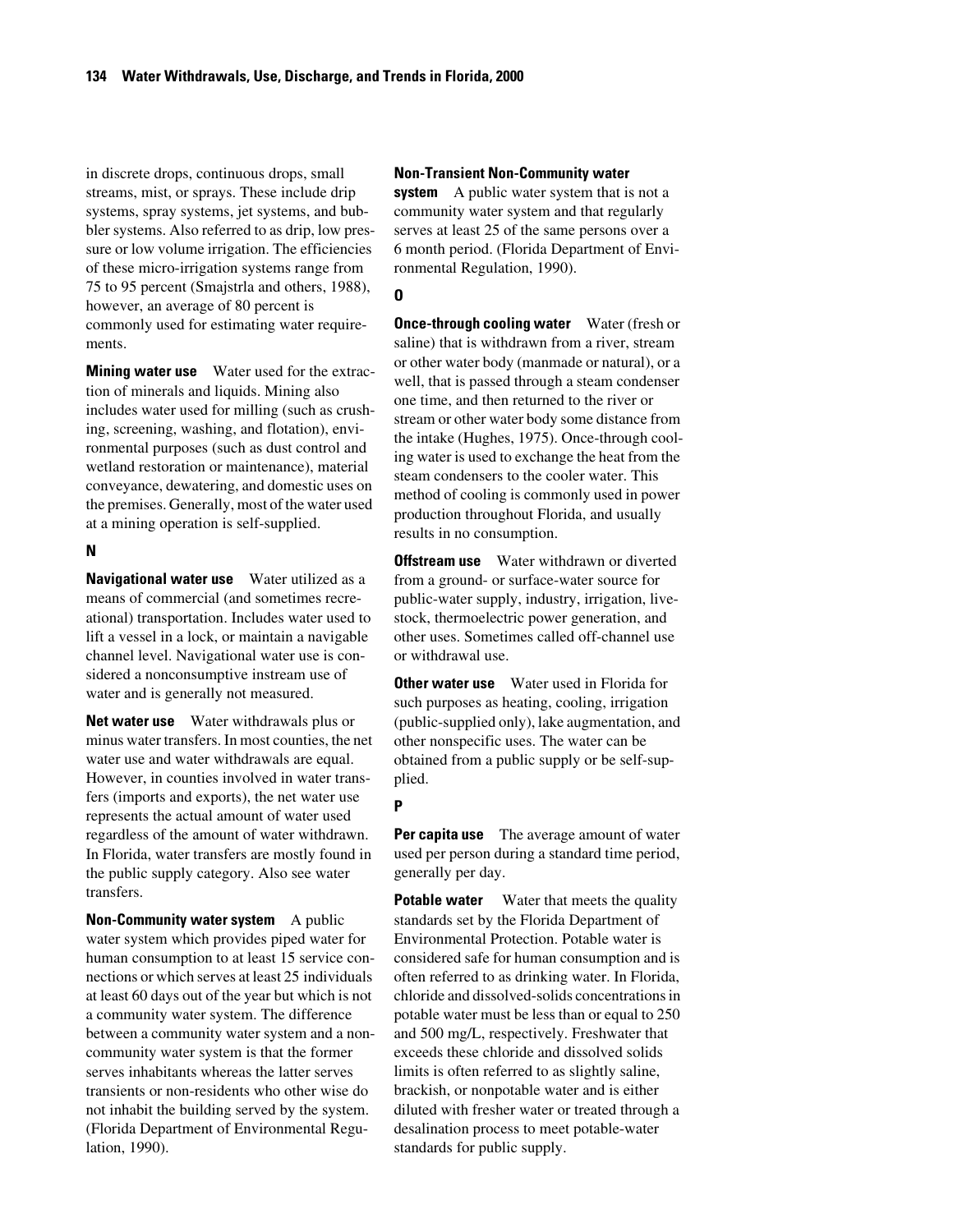in discrete drops, continuous drops, small streams, mist, or sprays. These include drip systems, spray systems, jet systems, and bubbler systems. Also referred to as drip, low pressure or low volume irrigation. The efficiencies of these micro-irrigation systems range from 75 to 95 percent (Smajstrla and others, 1988), however, an average of 80 percent is commonly used for estimating water requirements.

**Mining water use** Water used for the extraction of minerals and liquids. Mining also includes water used for milling (such as crushing, screening, washing, and flotation), environmental purposes (such as dust control and wetland restoration or maintenance), material conveyance, dewatering, and domestic uses on the premises. Generally, most of the water used at a mining operation is self-supplied.

#### **N**

**Navigational water use** Water utilized as a means of commercial (and sometimes recreational) transportation. Includes water used to lift a vessel in a lock, or maintain a navigable channel level. Navigational water use is considered a nonconsumptive instream use of water and is generally not measured.

**Net water use** Water withdrawals plus or minus water transfers. In most counties, the net water use and water withdrawals are equal. However, in counties involved in water transfers (imports and exports), the net water use represents the actual amount of water used regardless of the amount of water withdrawn. In Florida, water transfers are mostly found in the public supply category. Also see water transfers.

**Non-Community water system** A public water system which provides piped water for human consumption to at least 15 service connections or which serves at least 25 individuals at least 60 days out of the year but which is not a community water system. The difference between a community water system and a noncommunity water system is that the former serves inhabitants whereas the latter serves transients or non-residents who other wise do not inhabit the building served by the system. (Florida Department of Environmental Regulation, 1990).

#### **Non-Transient Non-Community water**

**system** A public water system that is not a community water system and that regularly serves at least 25 of the same persons over a 6 month period. (Florida Department of Environmental Regulation, 1990).

## **O**

**Once-through cooling water** Water (fresh or saline) that is withdrawn from a river, stream or other water body (manmade or natural), or a well, that is passed through a steam condenser one time, and then returned to the river or stream or other water body some distance from the intake (Hughes, 1975). Once-through cooling water is used to exchange the heat from the steam condensers to the cooler water. This method of cooling is commonly used in power production throughout Florida, and usually results in no consumption.

**Offstream use** Water withdrawn or diverted from a ground- or surface-water source for public-water supply, industry, irrigation, livestock, thermoelectric power generation, and other uses. Sometimes called off-channel use or withdrawal use.

**Other water use** Water used in Florida for such purposes as heating, cooling, irrigation (public-supplied only), lake augmentation, and other nonspecific uses. The water can be obtained from a public supply or be self-supplied.

## **P**

**Per capita use** The average amount of water used per person during a standard time period, generally per day.

**Potable water** Water that meets the quality standards set by the Florida Department of Environmental Protection. Potable water is considered safe for human consumption and is often referred to as drinking water. In Florida, chloride and dissolved-solids concentrations in potable water must be less than or equal to 250 and 500 mg/L, respectively. Freshwater that exceeds these chloride and dissolved solids limits is often referred to as slightly saline, brackish, or nonpotable water and is either diluted with fresher water or treated through a desalination process to meet potable-water standards for public supply.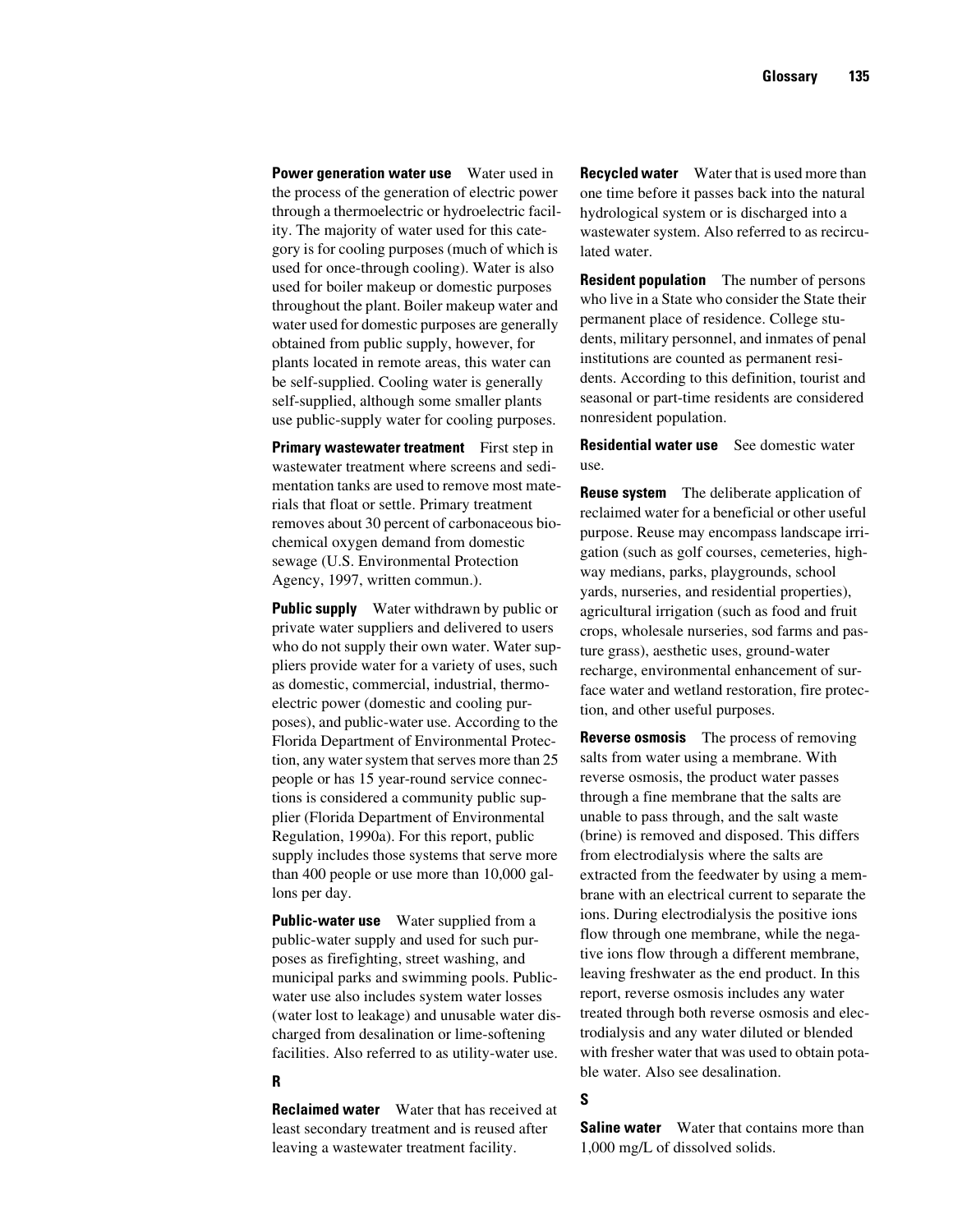**Power generation water use** Water used in the process of the generation of electric power through a thermoelectric or hydroelectric facility. The majority of water used for this category is for cooling purposes (much of which is used for once-through cooling). Water is also used for boiler makeup or domestic purposes throughout the plant. Boiler makeup water and water used for domestic purposes are generally obtained from public supply, however, for plants located in remote areas, this water can be self-supplied. Cooling water is generally self-supplied, although some smaller plants use public-supply water for cooling purposes.

**Primary wastewater treatment** First step in wastewater treatment where screens and sedimentation tanks are used to remove most materials that float or settle. Primary treatment removes about 30 percent of carbonaceous biochemical oxygen demand from domestic sewage (U.S. Environmental Protection Agency, 1997, written commun.).

**Public supply** Water withdrawn by public or private water suppliers and delivered to users who do not supply their own water. Water suppliers provide water for a variety of uses, such as domestic, commercial, industrial, thermoelectric power (domestic and cooling purposes), and public-water use. According to the Florida Department of Environmental Protection, any water system that serves more than 25 people or has 15 year-round service connections is considered a community public supplier (Florida Department of Environmental Regulation, 1990a). For this report, public supply includes those systems that serve more than 400 people or use more than 10,000 gallons per day.

**Public-water use** Water supplied from a public-water supply and used for such purposes as firefighting, street washing, and municipal parks and swimming pools. Publicwater use also includes system water losses (water lost to leakage) and unusable water discharged from desalination or lime-softening facilities. Also referred to as utility-water use.

## **R**

**Reclaimed water** Water that has received at least secondary treatment and is reused after leaving a wastewater treatment facility.

**Recycled water** Water that is used more than one time before it passes back into the natural hydrological system or is discharged into a wastewater system. Also referred to as recirculated water.

**Resident population** The number of persons who live in a State who consider the State their permanent place of residence. College students, military personnel, and inmates of penal institutions are counted as permanent residents. According to this definition, tourist and seasonal or part-time residents are considered nonresident population.

**Residential water use** See domestic water use.

**Reuse system** The deliberate application of reclaimed water for a beneficial or other useful purpose. Reuse may encompass landscape irrigation (such as golf courses, cemeteries, highway medians, parks, playgrounds, school yards, nurseries, and residential properties), agricultural irrigation (such as food and fruit crops, wholesale nurseries, sod farms and pasture grass), aesthetic uses, ground-water recharge, environmental enhancement of surface water and wetland restoration, fire protection, and other useful purposes.

**Reverse osmosis** The process of removing salts from water using a membrane. With reverse osmosis, the product water passes through a fine membrane that the salts are unable to pass through, and the salt waste (brine) is removed and disposed. This differs from electrodialysis where the salts are extracted from the feedwater by using a membrane with an electrical current to separate the ions. During electrodialysis the positive ions flow through one membrane, while the negative ions flow through a different membrane, leaving freshwater as the end product. In this report, reverse osmosis includes any water treated through both reverse osmosis and electrodialysis and any water diluted or blended with fresher water that was used to obtain potable water. Also see desalination.

# **S**

**Saline water** Water that contains more than 1,000 mg/L of dissolved solids.